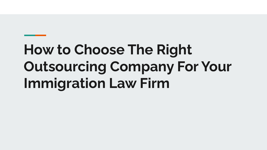# **How to Choose The Right Outsourcing Company For Your Immigration Law Firm**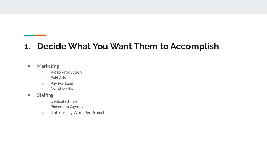#### **1. Decide What You Want Them to Accomplish**

#### ● Marketing

- Video Production
- Paid Ads
- Pay Per Lead
- Social Media
- Staffing
	- Dedicated Hire
	- Placement Agency
	- Outsourcing Work Per Project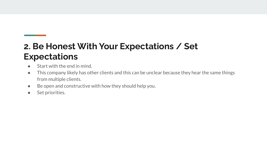# **2. Be Honest With Your Expectations / Set Expectations**

- Start with the end in mind.
- This company likely has other clients and this can be unclear because they hear the same things from multiple clients.
- Be open and constructive with how they should help you.
- Set priorities.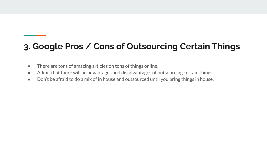### **3. Google Pros / Cons of Outsourcing Certain Things**

- There are tons of amazing articles on tons of things online.
- Admit that there will be advantages and disadvantages of outsourcing certain things.
- Don't be afraid to do a mix of in house and outsourced until you bring things in house.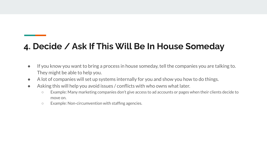#### **4. Decide / Ask If This Will Be In House Someday**

- If you know you want to bring a process in house someday, tell the companies you are talking to. They might be able to help you.
- A lot of companies will set up systems internally for you and show you how to do things.
- Asking this will help you avoid issues / conflicts with who owns what later.
	- Example: Many marketing companies don't give access to ad accounts or pages when their clients decide to move on.
	- Example: Non-circumvention with staffing agencies.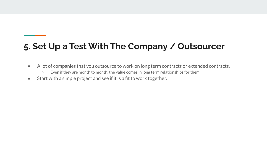# **5. Set Up a Test With The Company / Outsourcer**

- A lot of companies that you outsource to work on long term contracts or extended contracts.
	- Even if they are month to month, the value comes in long term relationships for them.
- Start with a simple project and see if it is a fit to work together.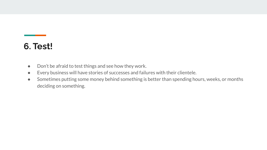#### **6. Test!**

- Don't be afraid to test things and see how they work.
- Every business will have stories of successes and failures with their clientele.
- Sometimes putting some money behind something is better than spending hours, weeks, or months deciding on something.